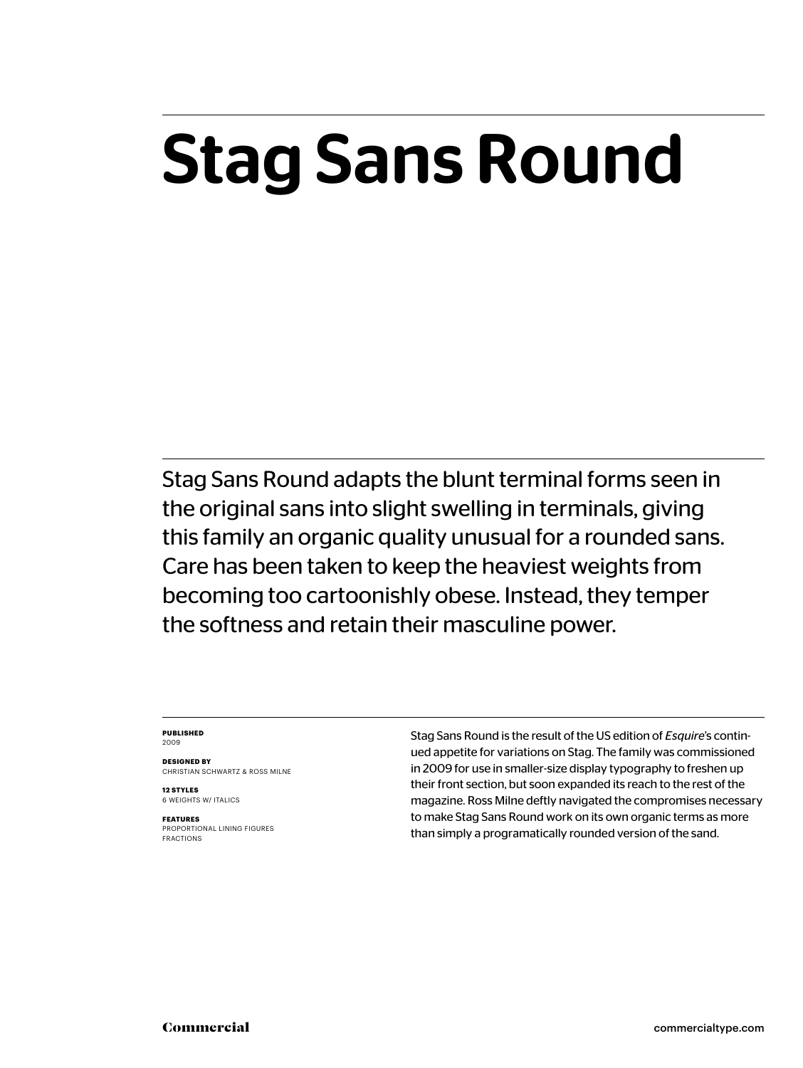## Stag Sans Round

Stag Sans Round adapts the blunt terminal forms seen in the original sans into slight swelling in terminals, giving this family an organic quality unusual for a rounded sans. Care has been taken to keep the heaviest weights from becoming too cartoonishly obese. Instead, they temper the softness and retain their masculine power.

#### **PUBLISHED** 2009

**DESIGNED BY** CHRISTIAN SCHWARTZ & ROSS MILNE

**12 STYLES** 6 WEIGHTS W/ ITALICS

**FEATURES** PROPORTIONAL LINING FIGURES FRACTIONS Stag Sans Round is the result of the US edition of *Esquire*'s continued appetite for variations on Stag. The family was commissioned in 2009 for use in smaller-size display typography to freshen up their front section, but soon expanded its reach to the rest of the magazine. Ross Milne deftly navigated the compromises necessary to make Stag Sans Round work on its own organic terms as more than simply a programatically rounded version of the sand.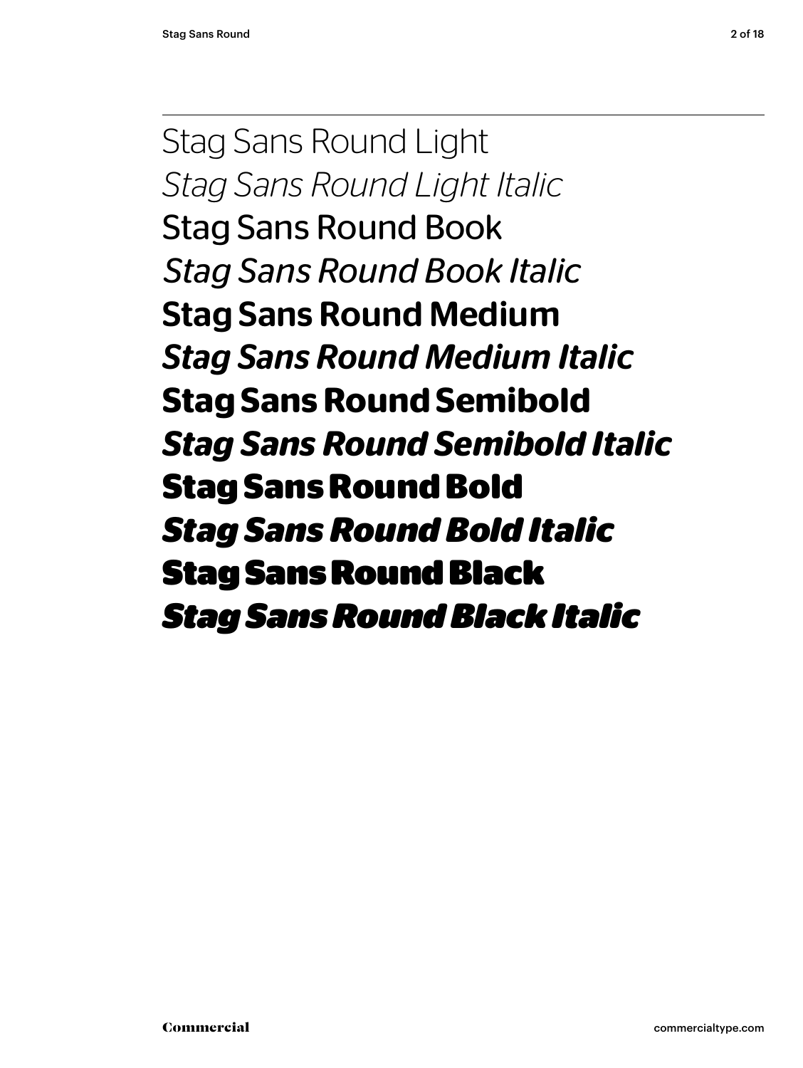Stag Sans Round Light *Stag Sans Round Light Italic* Stag Sans Round Book *Stag Sans Round Book Italic* Stag Sans Round Medium *Stag Sans Round Medium Italic* **Stag Sans Round Semibold** *Stag Sans Round Semibold Italic* **Stag Sans Round Bold** *Stag Sans Round Bold Italic* Stag Sans Round Black *Stag Sans Round Black Italic*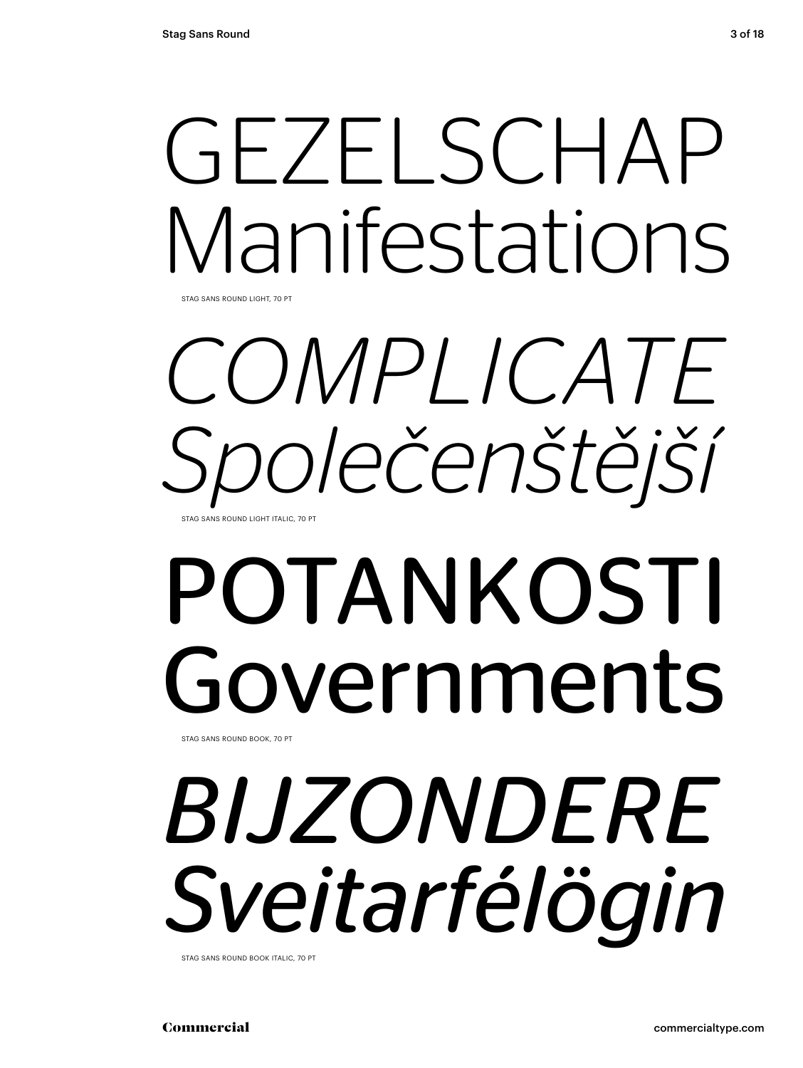# GEZELSCHAP Manifestations

STAG SANS ROUND LIGHT, 70 PT

*COMPLICATE Společenštější* STAG SANS ROUND LIGHT ITALIC, 70 F

## POTANKOSTI Governments STAG SANS ROUND BOOK, 70 PT

*BIJZONDERE Sveitarfélögin*

STAG SANS ROUND BOOK ITALIC, 70 PT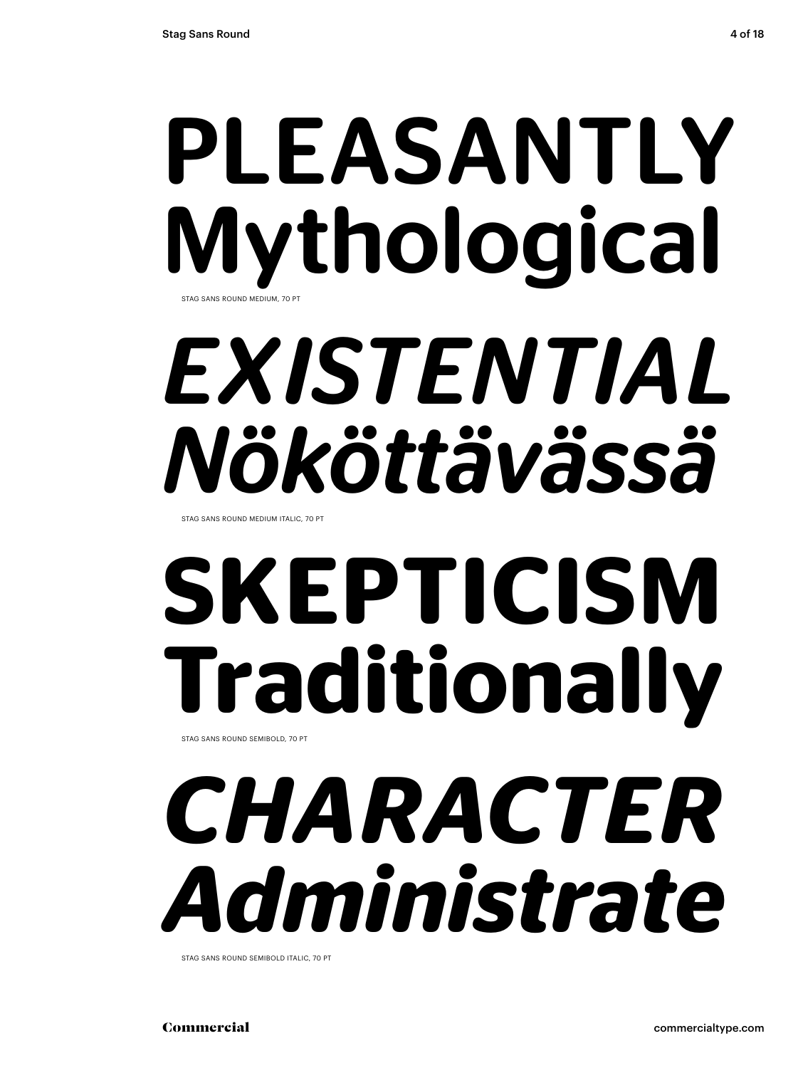## PLEASANTLY Mythological STAG SANS ROUND MEDIUM, 70

# *EXISTENTIAL Nököttävässä*

STAG SANS ROUND MEDIUM ITALIC, 70 PT

# **SKEPTICISM Traditionally**

STAG SANS ROUND SEMIBOLD, 70 PT

# *CHARACTER Administrate*

STAG SANS ROUND SEMIBOLD ITALIC, 70 PT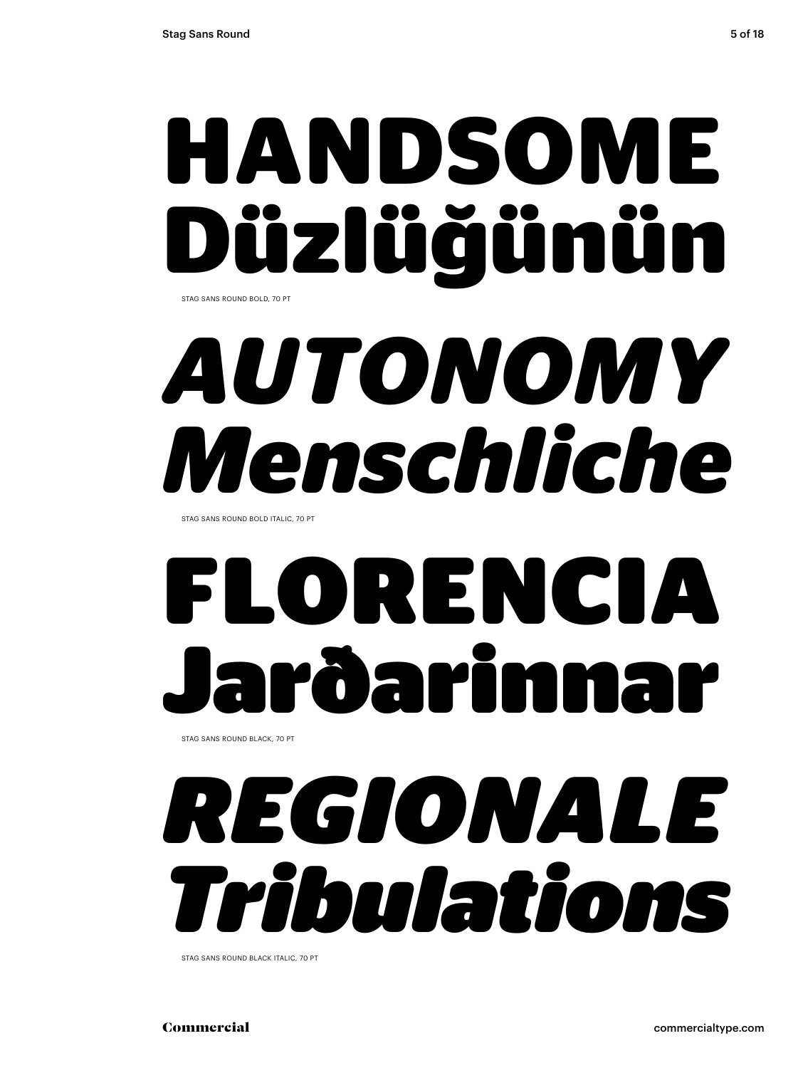## **HANDSOME Düzlüğünün** STAG SANS ROUND BOLD, 70 PT

## *AUTONOMY Menschliche*

STAG SANS ROUND BOLD ITALIC, 70 PT

# FLORENCIA rðarim

STAG SANS ROUND BLACK, 70 PT

# *REGIONALE Tribulations*

STAG SANS ROUND BLACK ITALIC, 70 PT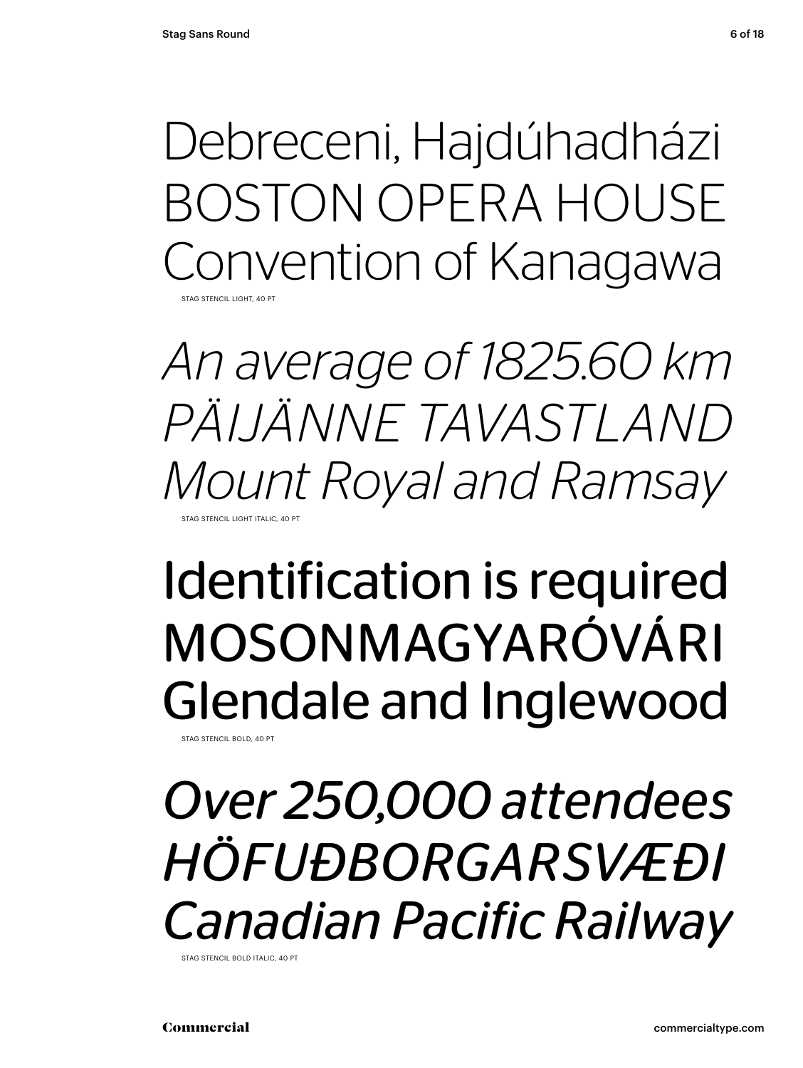Debreceni, Hajdúhadházi BOSTON OPERA HOUSE Convention of Kanagawa STAG STENCIL LIGHT, 40 PT

*An average of 1825.60 km PÄIJÄNNE TAVASTLAND Mount Royal and Ramsay* STAG STENCIL LIGHT ITALIC, 40 P

## Identification is required MOSONMAGYARÓVÁRI Glendale and Inglewood

STAG STENCIL BOLD, 40 PT

*Over 250,000 attendees HÖFUÐBORGARSVÆÐI Canadian Pacific Railway*

STAG STENCIL BOLD ITALIC, 40 PT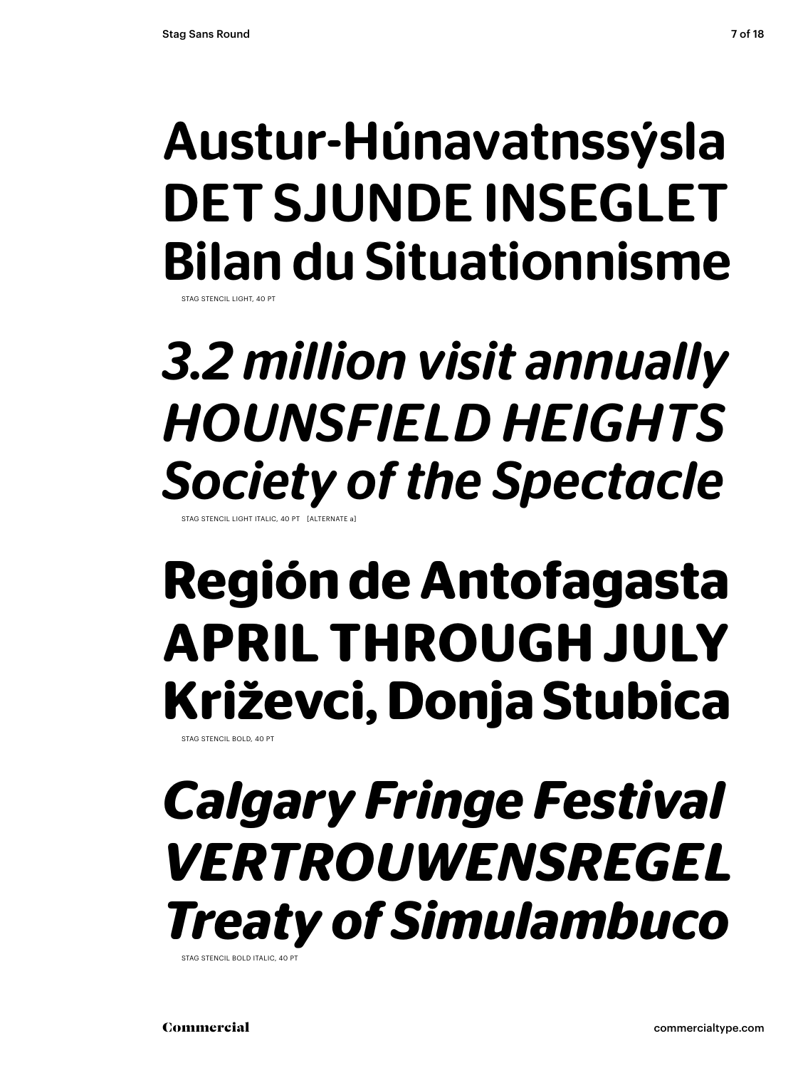## Austur-Húnavatnssýsla DET SJUNDE INSEGLET Bilan du Situationnisme

STAG STENCH LIGHT, 40 P

### *3.2 million visit annually HOUNSFIELD HEIGHTS Society of the Spectacle* STAG STENCIL LIGHT ITALIC, 40

### **Región de Antofagasta APRIL THROUGH JULY Križevci, Donja Stubica**

STAG STENCIL BOLD, 40 PT

### *Calgary Fringe Festival VERTROUWENSREGEL Treaty of Simulambuco*

STAG STENCIL BOLD ITALIC, 40 PT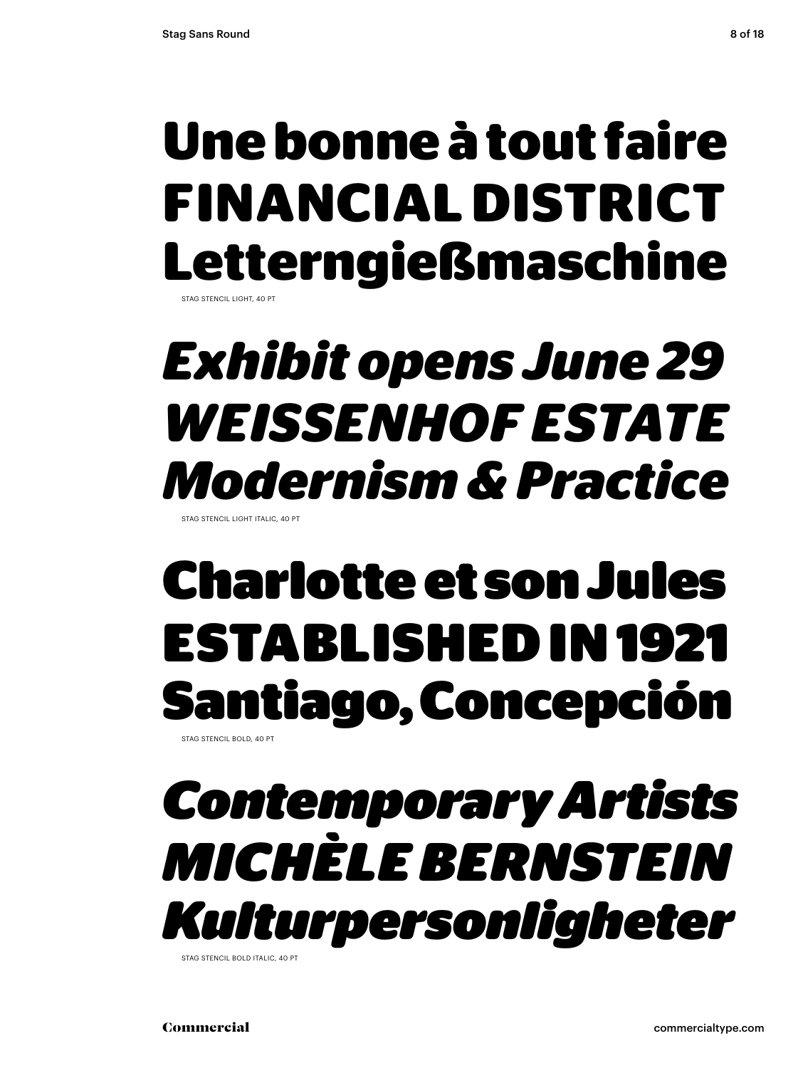## **Une bonne à tout faire FINANCIAL DISTRICT Letterngießmaschine**

STAG STENCIL LIGHT, 40 PT

## *Exhibit opens June 29 WEISSENHOF ESTATE Modernism & Practice*

STAG STENCIL LIGHT ITALIC, 40 PT

## Charlotte et son Jules ESTABLISHED IN 1921 Santiago, Concepción

STAG STENCIL BOLD, 40 PT

### *Contemporary Artists MICHÈLE BERNSTEIN Kulturpersonligheter*

STAG STENCIL BOLD ITALIC, 40 PT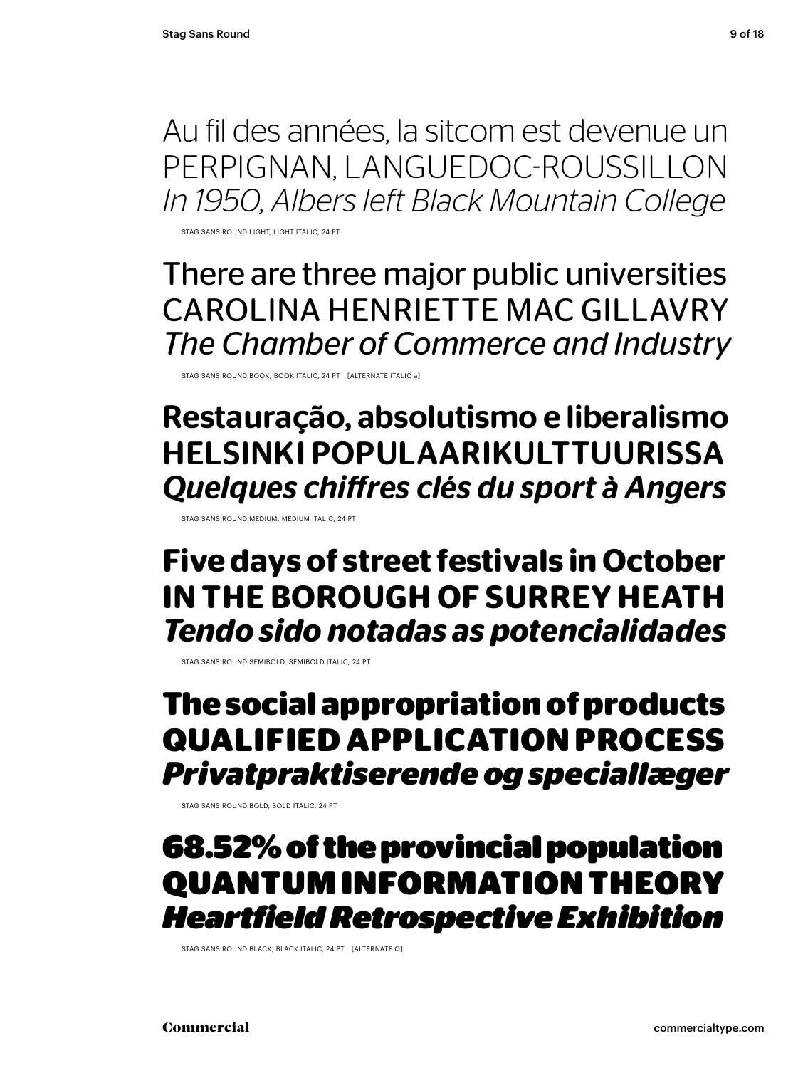Au fil des années, la sitcom est devenue un PERPIGNAN, LANGUEDOC-ROUSSILLON *In 1950, Albers left Black Mountain College*

STAG SANS ROUND LIGHT, LIGHT ITALIC, 24 PT

There are three major public universities CAROLINA HENRIETTE MAC GILLAVRY *The Chamber of Commerce and Industry*

STAG SANS ROUND BOOK, BOOK ITALIC, 24 PT [ALTERNATE ITALIC a]

Restauração, absolutismo e liberalismo HELSINKI POPULAARIKULTTUURISSA *Quelques chiff res clés du sport à Angers*

STAG SANS ROUND MEDIUM, MEDIUM ITALIC, 24 PT

### **Five days of street festivals in October IN THE BOROUGH OF SURREY HEATH** *Tendo sido notadas as potencialidades*

STAG SANS ROUND SEMIBOLD, SEMIBOLD ITALIC, 24 PT

### **The social appropriation of products QUALIFIED APPLICATION PROCESS**  *Privatpraktiserende og speciallæger*

STAG SANS ROUND BOLD, BOLD ITALIC, 24 PT

68.52% of the provincial population QUANTUM INFORMATION THEORY *Heartfield Retrospective Exhibition*

STAG SANS ROUND BLACK, BLACK ITALIC, 24 PT [ALTERNATE Q]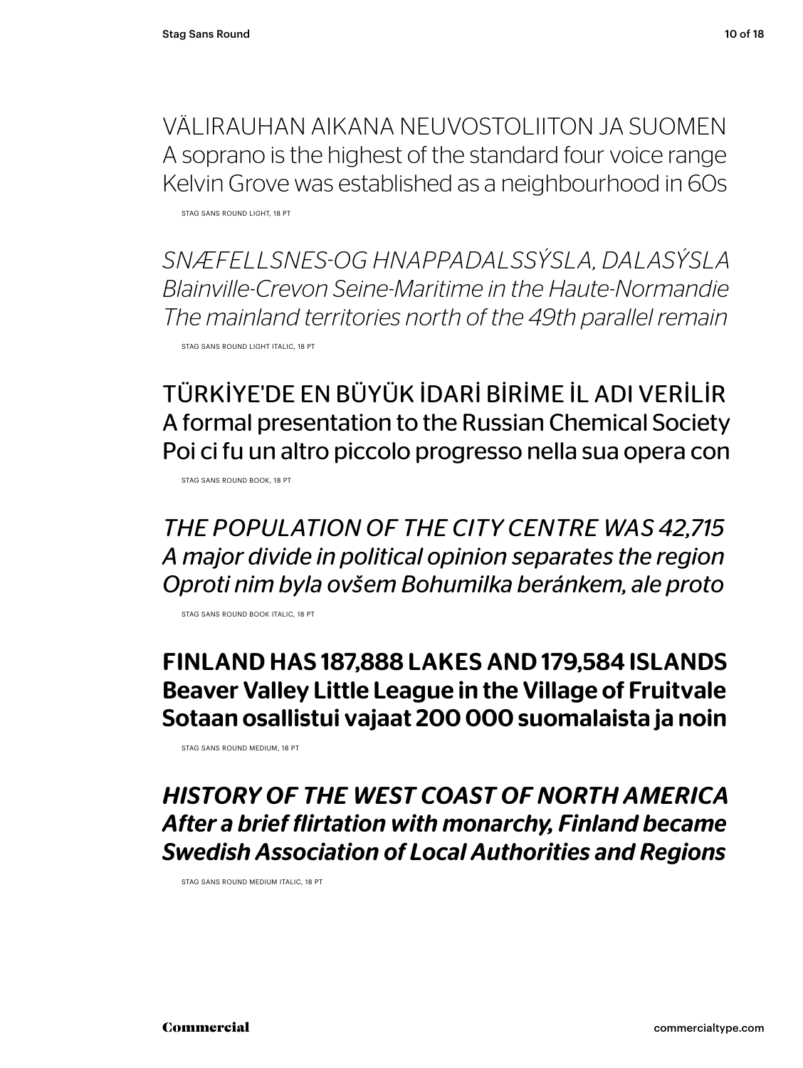VÄLIRAUHAN AIKANA NEUVOSTOLIITON JA SUOMEN A soprano is the highest of the standard four voice range Kelvin Grove was established as a neighbourhood in 60s

STAG SANS ROUND LIGHT, 18 PT

*SNÆFELLSNES-OG HNAPPADALSSÝSLA, DALASÝSLA Blainville-Crevon Seine-Maritime in the Haute-Normandie The mainland territories north of the 49th parallel remain*

STAG SANS ROUND LIGHT ITALIC, 18 PT

TÜRKİYE'DE EN BÜYÜK İDARİ BİRİME İL ADI VERİLİR A formal presentation to the Russian Chemical Society Poi ci fu un altro piccolo progresso nella sua opera con

STAG SANS ROUND BOOK, 18 PT

*THE POPULATION OF THE CITY CENTRE WAS 42,715 A major divide in political opinion separates the region Oproti nim byla ovšem Bohumilka beránkem, ale proto*

STAG SANS ROUND BOOK ITALIC, 18 PT

#### FINLAND HAS 187,888 LAKES AND 179,584 ISLANDS Beaver Valley Little League in the Village of Fruitvale Sotaan osallistui vajaat 200 000 suomalaista ja noin

STAG SANS ROUND MEDIUM, 18 PT

#### *HISTORY OF THE WEST COAST OF NORTH AMERICA After a brief flirtation with monarchy, Finland became Swedish Association of Local Authorities and Regions*

STAG SANS ROUND MEDIUM ITALIC, 18 PT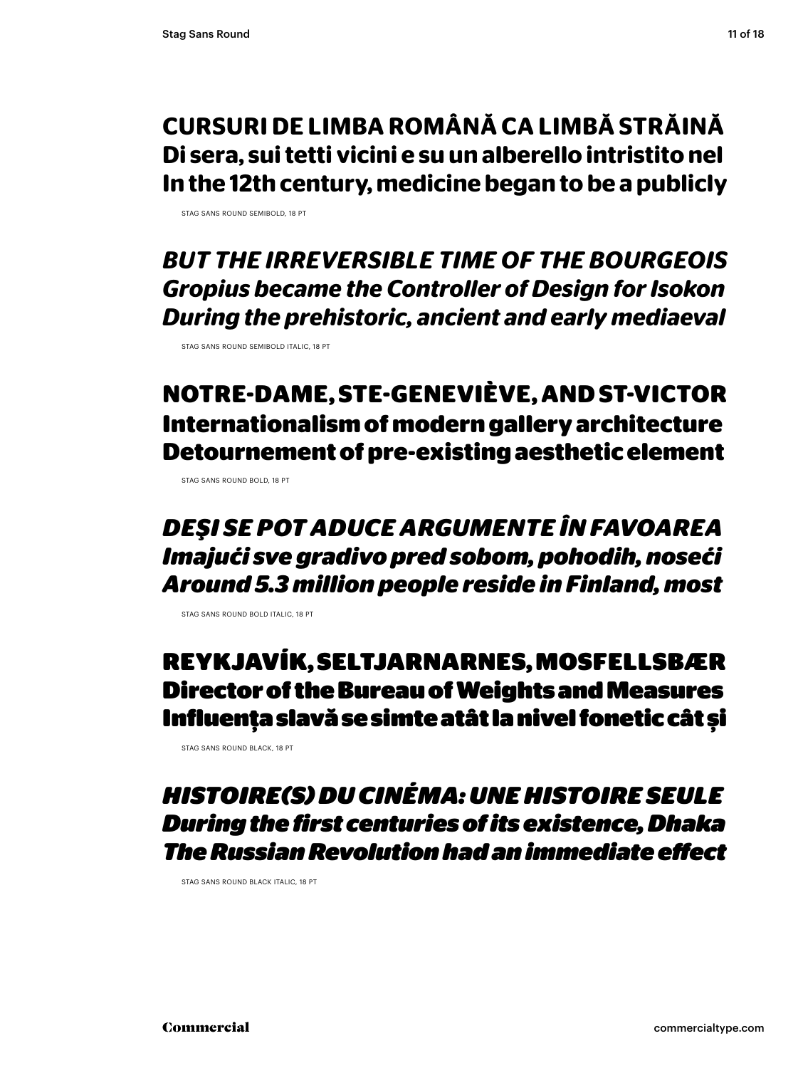#### **CURSURI DE LIMBA ROMÂNĂ CA LIMBĂ STRĂINĂ Di sera, sui tetti vicini e su un alberello intristito nel In the 12th century, medicine began to be a publicly**

STAG SANS ROUND SEMIROLD, 18 PT

*BUT THE IRREVERSIBLE TIME OF THE BOURGEOIS Gropius became the Controller of Design for Isokon During the prehistoric, ancient and early mediaeval*

STAG SANS ROUND SEMIBOLD ITALIC, 18 PT

#### **NOTRE-DAME, STE-GENEVIÈVE, AND ST-VICTOR Internationalism of modern gallery architecture Detournement of pre-existing aesthetic element**

STAG SANS ROUND BOLD, 18 PT

#### *DEŞI SE POT ADUCE ARGUMENTE ÎN FAVOAREA Imajući sve gradivo pred sobom, pohodih, noseći Around 5.3 million people reside in Finland, most*

STAG SANS ROUND BOLD ITALIC, 18 PT

#### REYKJAVÍK, SELTJARNARNES, MOSFELLSBÆR Director of the Bureau of Weights and Measures Influenţa slavă se simte atât la nivel fonetic cât și

STAG SANS ROUND BLACK, 18 PT

#### *HISTOIRE(S) DU CINÉMA: UNE HISTOIRE SEULE During the first centuries of its existence, Dhaka The Russian Revolution had an immediate eff ect*

STAG SANS ROUND BLACK ITALIC, 18 PT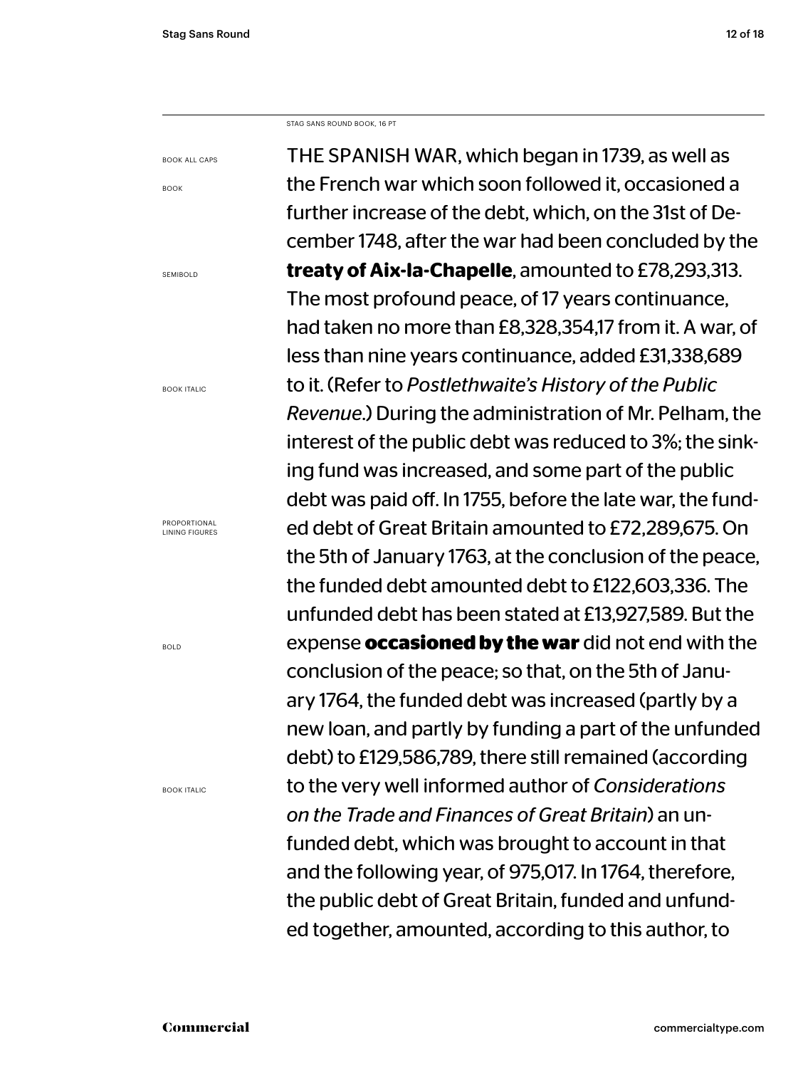BOOK ALL CAPS

BOOK

SEMIBOLD

STAG SANS ROUND BOOK, 16 PT

THE SPANISH WAR, which began in 1739, as well as the French war which soon followed it, occasioned a further increase of the debt, which, on the 31st of December 1748, after the war had been concluded by the **treaty of Aix-la-Chapelle**, amounted to £78,293,313. The most profound peace, of 17 years continuance, had taken no more than £8,328,354,17 from it. A war, of less than nine years continuance, added £31,338,689 to it. (Refer to *Postlethwaite's History of the Public Revenue*.) During the administration of Mr. Pelham, the interest of the public debt was reduced to 3%; the sinking fund was increased, and some part of the public debt was paid off. In 1755, before the late war, the funded debt of Great Britain amounted to £72,289,675. On the 5th of January 1763, at the conclusion of the peace, the funded debt amounted debt to £122,603,336. The unfunded debt has been stated at £13,927,589. But the expense **occasioned by the war** did not end with the conclusion of the peace; so that, on the 5th of January 1764, the funded debt was increased (partly by a new loan, and partly by funding a part of the unfunded debt) to £129,586,789, there still remained (according to the very well informed author of *Considerations on the Trade and Finances of Great Britain*) an unfunded debt, which was brought to account in that and the following year, of 975,017. In 1764, therefore, the public debt of Great Britain, funded and unfunded together, amounted, according to this author, to

BOOK ITALIC

PROPORTIONAL LINING FIGURES

BOLD

BOOK ITALIC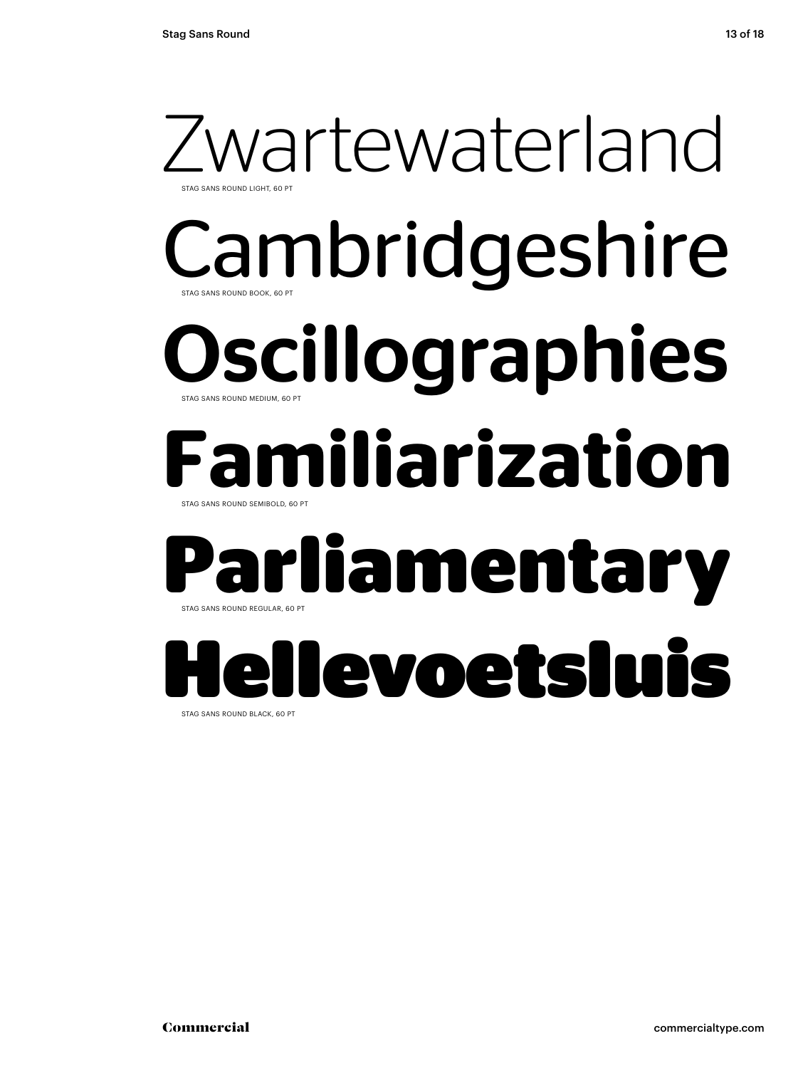### wartewaterland STAG SANS ROUND BOOK, 60 PT STAG SANS ROUND LIGHT, 60 PT Cambridgeshire **Dscillographies** STAG SANS ROUND SEMIBOLD, 60 PT STAG SANS ROUND MEDIUM, 60 PT **Familiarization**

### **Parliamentary** STAG SANS ROUND REGULAR, 60 PT

## Hellevoetsluis

STAG SANS ROUND BLACK, 60 PT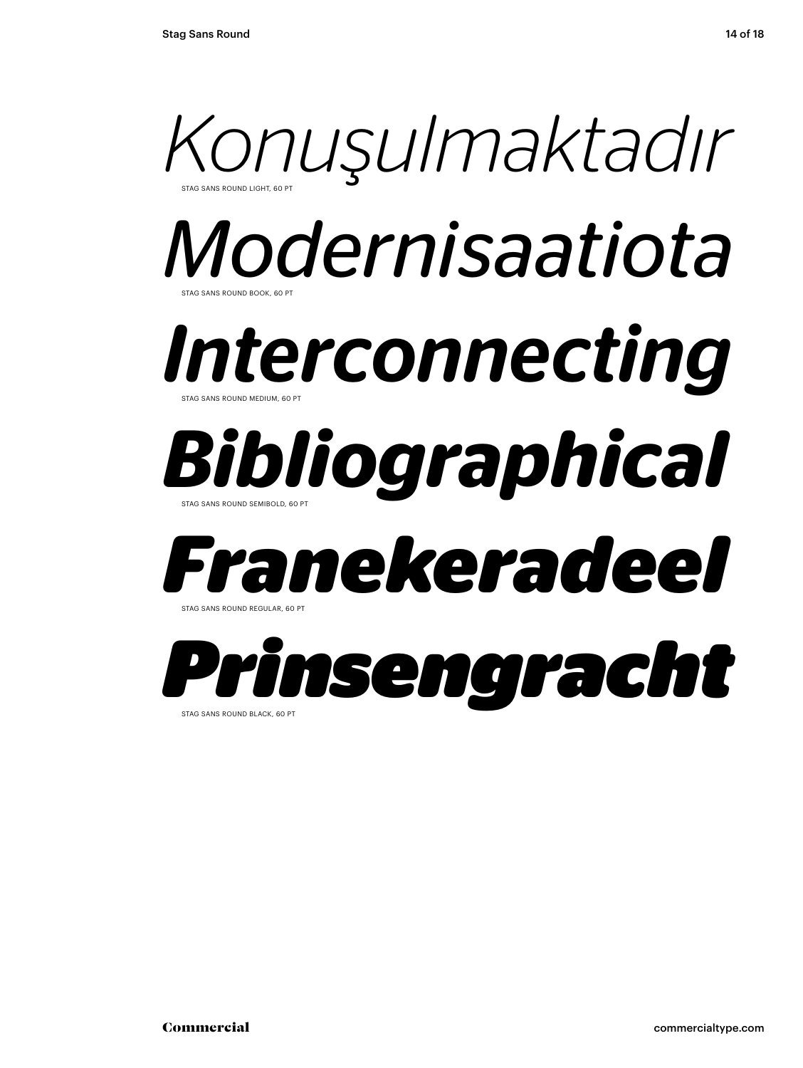

STAG SANS ROUND BLACK, 60 PT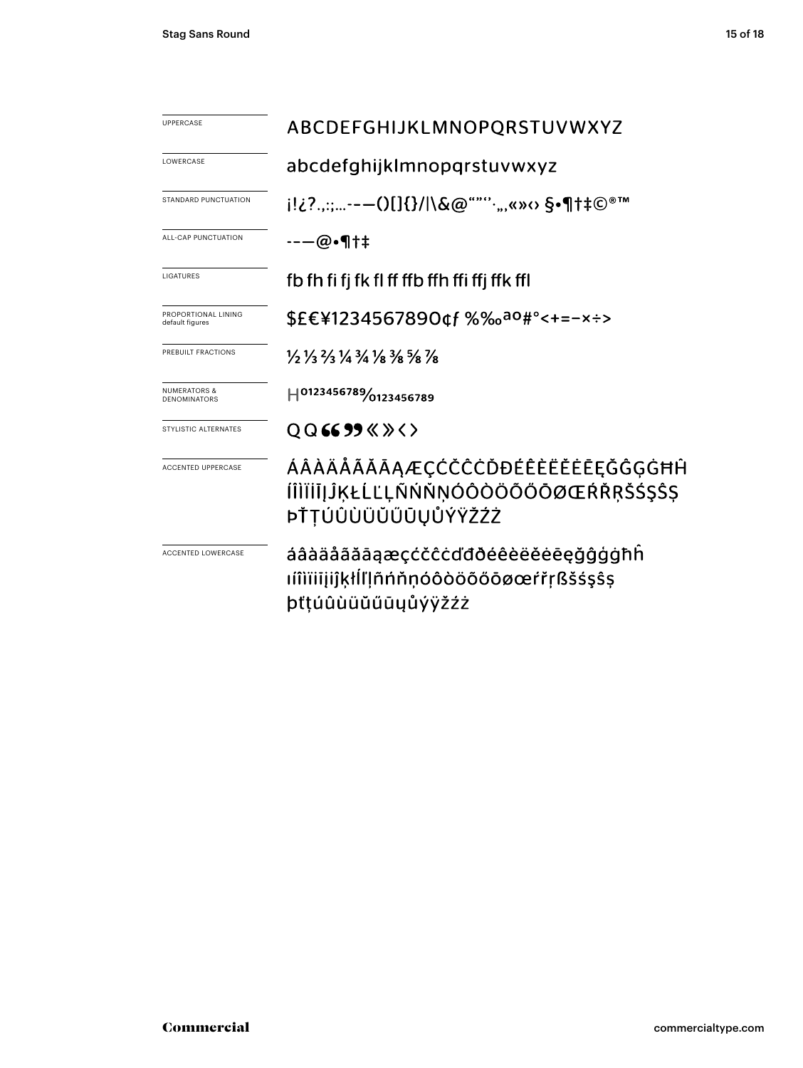| <b>UPPERCASE</b>                               | ABCDEFGHIJKLMNOPQRSTUVWXYZ                                                                                                    |  |  |
|------------------------------------------------|-------------------------------------------------------------------------------------------------------------------------------|--|--|
| LOWERCASE                                      | abcdefghijklmnopqrstuvwxyz                                                                                                    |  |  |
| STANDARD PUNCTUATION                           | j!¿?.,:;--—()[]{}/ \&@""''·",«»⇔ §•¶†‡©®™                                                                                     |  |  |
| ALL-CAP PUNCTUATION                            | ---@•¶†‡                                                                                                                      |  |  |
| LIGATURES                                      | fb fh fi fj fk fl ff ffb ffh ffi ffj ffk ffl                                                                                  |  |  |
| PROPORTIONAL LINING<br>default figures         | \$£€¥1234567890¢f %‰ <sup>ao</sup> #°<+=-×÷>                                                                                  |  |  |
| PREBUILT FRACTIONS                             | $\frac{1}{2}$ $\frac{1}{3}$ $\frac{2}{3}$ $\frac{1}{4}$ $\frac{3}{4}$ $\frac{1}{8}$ $\frac{3}{8}$ $\frac{5}{8}$ $\frac{7}{8}$ |  |  |
| <b>NUMERATORS &amp;</b><br><b>DENOMINATORS</b> | H0123456789/0123456789                                                                                                        |  |  |
| STYLISTIC ALTERNATES                           | $QQ$ 6699 $\langle \rangle$ $\langle \rangle$                                                                                 |  |  |
| <b>ACCENTED UPPERCASE</b>                      | ÁÂÀÄĂÃĂĀĄÆÇĆČĈĊĎĐÉÊÈËĔĔĒĔĞĜĢĠĦĤ<br>ÍÎÌÏİĪJĴĶŁĹĽĻÑŃŇŅÓÔÒÖÕŐŌØŒŔŘŖŠŚŞŜŞ<br>ÞŤTÚÛÙÜŬŰŨŪŲŮÝŸŽŹŻ                                   |  |  |
| <b>ACCENTED LOWERCASE</b>                      | áâàäåãăāaæçćčĉċďđðéêèëĕēeğĝģģħĥ<br>ıíîìïiiįijkłĺľļñńňņóôòöõőōøœŕřŗßšśsŝs<br>þťtúûùüŭűūyůýÿžźż                                 |  |  |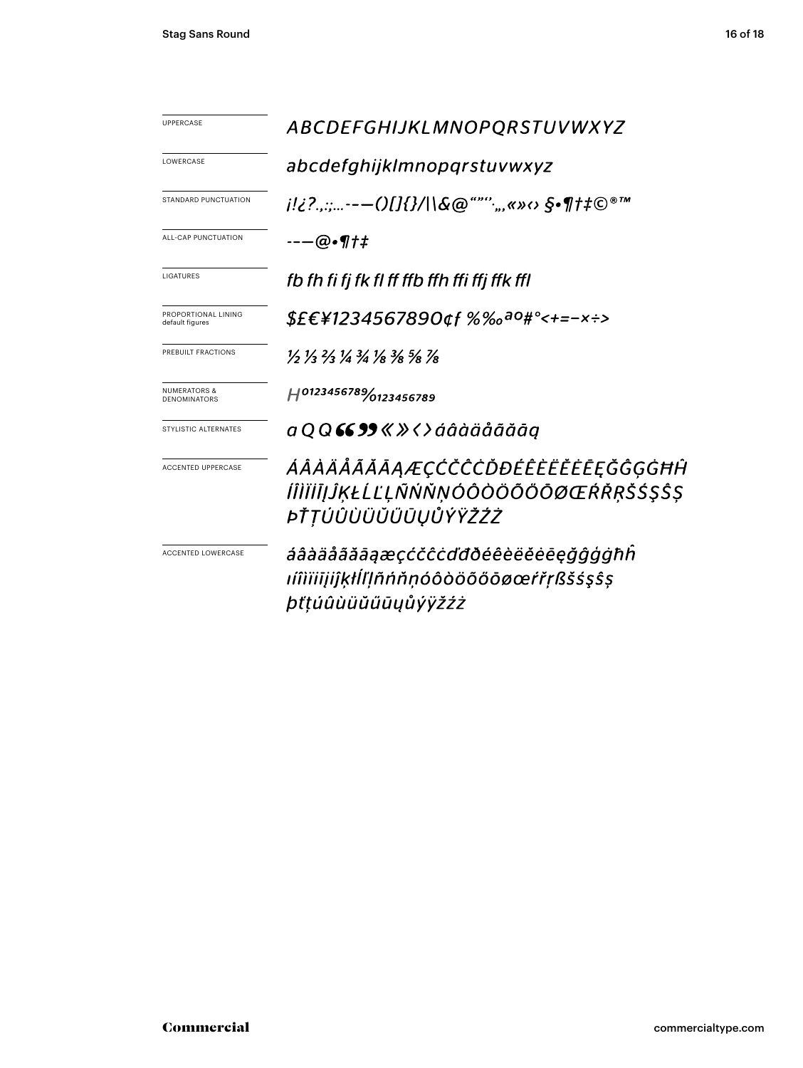| <b>UPPERCASE</b>                        | ABCDEFGHIJKLMNOPQRSTUVWXYZ                                                                    |  |  |
|-----------------------------------------|-----------------------------------------------------------------------------------------------|--|--|
| LOWERCASE                               | abcdefghijklmnopqrstuvwxyz                                                                    |  |  |
| STANDARD PUNCTUATION                    |                                                                                               |  |  |
| ALL-CAP PUNCTUATION                     | --—@•¶†‡                                                                                      |  |  |
| LIGATURES                               | fb fh fi fj fk fl ff ffb ffh ffi ffj ffk ffl                                                  |  |  |
| PROPORTIONAL LINING<br>default figures  | \$£€¥1234567890¢f %‰ <sup>ao</sup> #°<+=−×÷>                                                  |  |  |
| PREBUILT FRACTIONS                      | 1/2 1/3 2/3 1/4 3/4 1/8 3/8 5/8 1/8                                                           |  |  |
| <b>NUMERATORS &amp;</b><br>DENOMINATORS | H0123456789/0123456789                                                                        |  |  |
| STYLISTIC ALTERNATES                    | a Q Q 66 99 « » < > áâàäåãããāq                                                                |  |  |
| <b>ACCENTED UPPERCASE</b>               | ÁÂÀÄÅÃĂĀAÆÇĆČĈĊĎĐÉÊÈËĔĔĒĘĞĜĢĠĦĤ<br>ÍÎÌÏİĪJĴĶŁĹĽĻÑŃŇŅÓÔÒÖÕŐŌØŒŔŘŖŠŚŞŜŞ<br>ÞŤŢÚÛÙÜŬŰŨŪŲŮÝŸŽŹŻ   |  |  |
| <b>ACCENTED LOWERCASE</b>               | áâàääããāąæçćčĉċďđðéêèëĕēeğĝģġħĥ<br>ıíîìïiijiĵķłĺľļñńňṇóôòöõőōøœŕřṛßšśşŝş<br>þťţúûùüŭűūyůýÿžźż |  |  |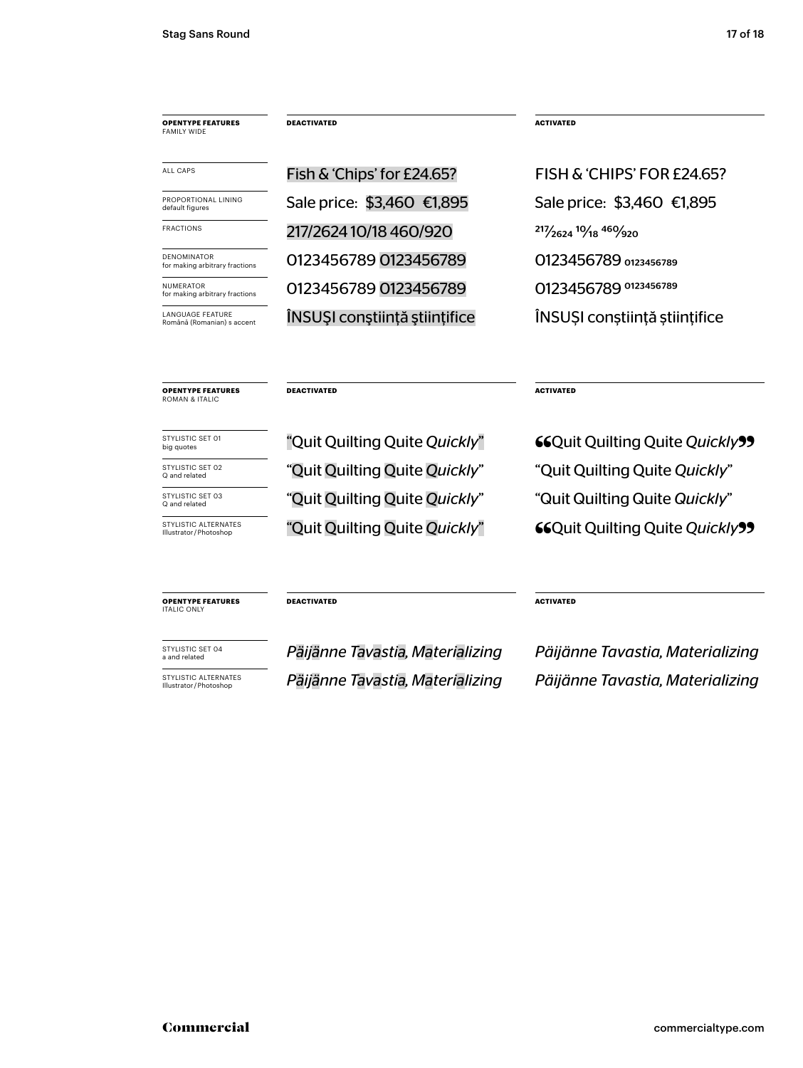| <b>OPENTYPE FEATURES</b><br><b>FAMILY WIDE</b>        | <b>DEACTIVATED</b>            | <b>ACTIVATED</b>              |
|-------------------------------------------------------|-------------------------------|-------------------------------|
| ALL CAPS                                              | Fish & 'Chips' for £24.65?    | FISH & 'CHIPS' FOR £24.65?    |
| PROPORTIONAL LINING<br>default figures                | Sale price: \$3,460 €1,895    | Sale price: \$3,460 €1,895    |
| <b>FRACTIONS</b>                                      | 217/2624 10/18 460/920        | 217/2624 10/18 460/920        |
| <b>DENOMINATOR</b><br>for making arbitrary fractions  | 0123456789 0123456789         | 0123456789 0123456789         |
| NUMERATOR<br>for making arbitrary fractions           | 0123456789 0123456789         | 0123456789 0123456789         |
| <b>LANGUAGE FEATURE</b><br>Română (Romanian) s accent | INSUȘI conștiință științifice | INSUȘI conștiință științifice |

**DEACTIVATED** ACTIVATED

big quotes

**OPENTYPE FEATURES** ROMAN & ITALIC

Illustrator/Photoshop

STYLISTIC SET 02 **STARK SOM THE** *Quit Quilting Quite Quickly***"** "Quit Quilting Quite *Quickly*" STYLISTIC SET 03 **STARK STARK (STARK) AND THE PROPERTY COULD THE GUICK OUT CALLY** and relat**ed Cuickly** and the stand related and related the stand related by the stand related by the stand related by the stand related by

STYLISTIC SET 01 "Quit Quilting Quite *Quickly*" 66Quit Quilting Quite *Quickly* STYLISTIC ALTERNATES "<sup>TO</sup>Quit Quilting Quite *Quickly*" GQuit Quilting Quite *Quickly* 

**OPENTYPE FEATURES** ITALIC ONLY

**DEACTIVATED ACTIVATED** 

a and related *Päijänne Tavastia, Materializing* Illustrator / Photoshop *Päijänne Tavastia, Materializing*

*Päijänne Tavastia, Materializing* Päijänne Tavastia, Materializing Päijänne Tavastia, Materializing **STYLISTIC ALTERNATES Päijänne Tavastia, Materializing** Päijänne Tavastia, Materializing